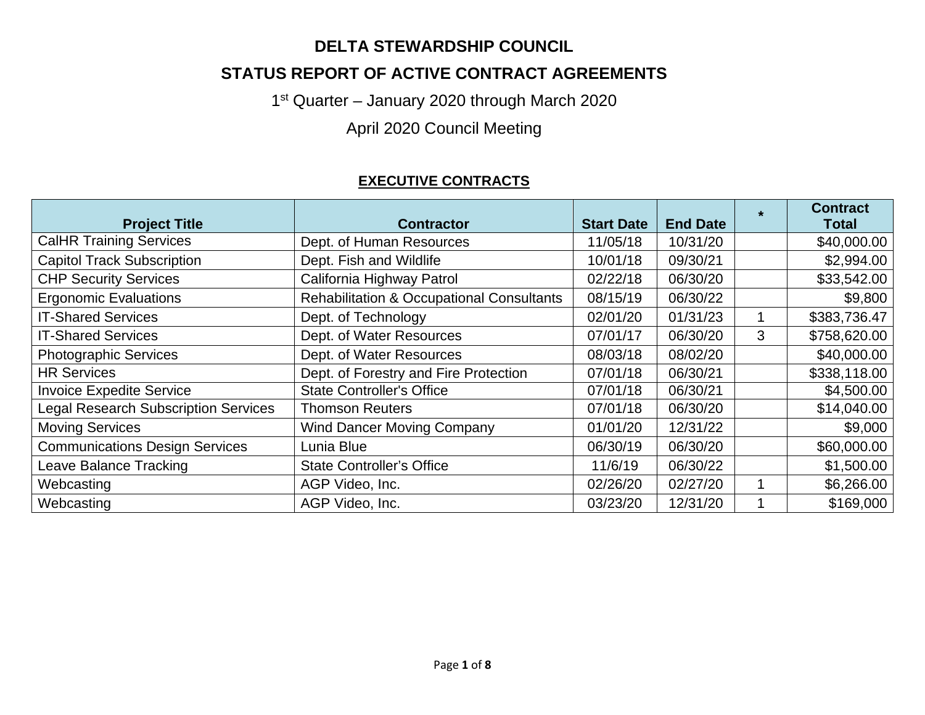## **DELTA STEWARDSHIP COUNCIL**

## **STATUS REPORT OF ACTIVE CONTRACT AGREEMENTS**

1<sup>st</sup> Quarter – January 2020 through March 2020

April 2020 Council Meeting

### **EXECUTIVE CONTRACTS**

| <b>Project Title</b>                        | <b>Contractor</b>                                    | <b>Start Date</b> | <b>End Date</b> | $\bullet$ | <b>Contract</b><br>Total |
|---------------------------------------------|------------------------------------------------------|-------------------|-----------------|-----------|--------------------------|
| <b>CalHR Training Services</b>              | Dept. of Human Resources                             | 11/05/18          | 10/31/20        |           | \$40,000.00              |
| <b>Capitol Track Subscription</b>           | Dept. Fish and Wildlife                              | 10/01/18          | 09/30/21        |           | \$2,994.00               |
| <b>CHP Security Services</b>                | California Highway Patrol                            | 02/22/18          | 06/30/20        |           | \$33,542.00              |
| <b>Ergonomic Evaluations</b>                | <b>Rehabilitation &amp; Occupational Consultants</b> | 08/15/19          | 06/30/22        |           | \$9,800                  |
| <b>IT-Shared Services</b>                   | Dept. of Technology                                  | 02/01/20          | 01/31/23        |           | \$383,736.47             |
| <b>IT-Shared Services</b>                   | Dept. of Water Resources                             | 07/01/17          | 06/30/20        | 3         | \$758,620.00             |
| <b>Photographic Services</b>                | Dept. of Water Resources                             | 08/03/18          | 08/02/20        |           | \$40,000.00              |
| <b>HR Services</b>                          | Dept. of Forestry and Fire Protection                | 07/01/18          | 06/30/21        |           | \$338,118.00             |
| <b>Invoice Expedite Service</b>             | <b>State Controller's Office</b>                     | 07/01/18          | 06/30/21        |           | \$4,500.00               |
| <b>Legal Research Subscription Services</b> | <b>Thomson Reuters</b>                               | 07/01/18          | 06/30/20        |           | \$14,040.00              |
| <b>Moving Services</b>                      | <b>Wind Dancer Moving Company</b>                    | 01/01/20          | 12/31/22        |           | \$9,000                  |
| <b>Communications Design Services</b>       | Lunia Blue                                           | 06/30/19          | 06/30/20        |           | \$60,000.00              |
| Leave Balance Tracking                      | <b>State Controller's Office</b>                     | 11/6/19           | 06/30/22        |           | \$1,500.00               |
| Webcasting                                  | AGP Video, Inc.                                      | 02/26/20          | 02/27/20        |           | \$6,266.00               |
| Webcasting                                  | AGP Video, Inc.                                      | 03/23/20          | 12/31/20        |           | \$169,000                |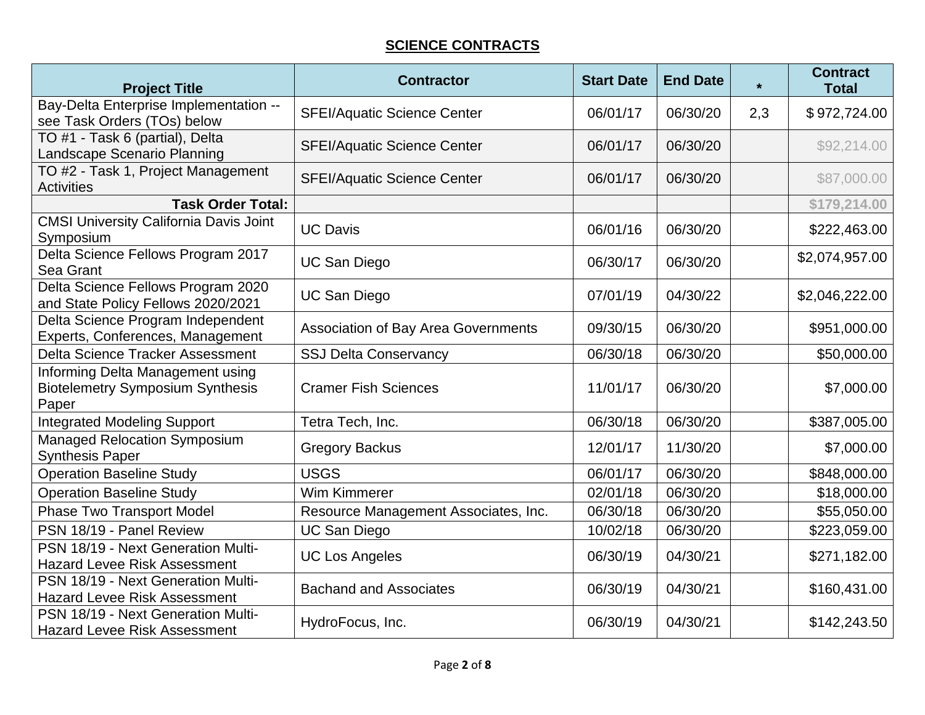#### **SCIENCE CONTRACTS**

| <b>Project Title</b>                                                                 | <b>Contractor</b>                          | <b>Start Date</b> | <b>End Date</b> | $\star$ | <b>Contract</b><br><b>Total</b> |
|--------------------------------------------------------------------------------------|--------------------------------------------|-------------------|-----------------|---------|---------------------------------|
| Bay-Delta Enterprise Implementation --<br>see Task Orders (TOs) below                | <b>SFEI/Aquatic Science Center</b>         | 06/01/17          | 06/30/20        | 2,3     | \$972,724.00                    |
| TO #1 - Task 6 (partial), Delta<br>Landscape Scenario Planning                       | <b>SFEI/Aquatic Science Center</b>         | 06/01/17          | 06/30/20        |         | \$92,214.00                     |
| TO #2 - Task 1, Project Management<br><b>Activities</b>                              | <b>SFEI/Aquatic Science Center</b>         | 06/01/17          | 06/30/20        |         | \$87,000.00                     |
| <b>Task Order Total:</b>                                                             |                                            |                   |                 |         | \$179,214.00                    |
| <b>CMSI University California Davis Joint</b><br>Symposium                           | <b>UC Davis</b>                            | 06/01/16          | 06/30/20        |         | \$222,463.00                    |
| Delta Science Fellows Program 2017<br>Sea Grant                                      | <b>UC San Diego</b>                        | 06/30/17          | 06/30/20        |         | \$2,074,957.00                  |
| Delta Science Fellows Program 2020<br>and State Policy Fellows 2020/2021             | <b>UC San Diego</b>                        | 07/01/19          | 04/30/22        |         | \$2,046,222.00                  |
| Delta Science Program Independent<br>Experts, Conferences, Management                | <b>Association of Bay Area Governments</b> | 09/30/15          | 06/30/20        |         | \$951,000.00                    |
| <b>Delta Science Tracker Assessment</b>                                              | <b>SSJ Delta Conservancy</b>               | 06/30/18          | 06/30/20        |         | \$50,000.00                     |
| Informing Delta Management using<br><b>Biotelemetry Symposium Synthesis</b><br>Paper | <b>Cramer Fish Sciences</b>                | 11/01/17          | 06/30/20        |         | \$7,000.00                      |
| <b>Integrated Modeling Support</b>                                                   | Tetra Tech, Inc.                           | 06/30/18          | 06/30/20        |         | \$387,005.00                    |
| <b>Managed Relocation Symposium</b><br><b>Synthesis Paper</b>                        | <b>Gregory Backus</b>                      | 12/01/17          | 11/30/20        |         | \$7,000.00                      |
| <b>Operation Baseline Study</b>                                                      | <b>USGS</b>                                | 06/01/17          | 06/30/20        |         | \$848,000.00                    |
| <b>Operation Baseline Study</b>                                                      | Wim Kimmerer                               | 02/01/18          | 06/30/20        |         | \$18,000.00                     |
| <b>Phase Two Transport Model</b>                                                     | Resource Management Associates, Inc.       | 06/30/18          | 06/30/20        |         | \$55,050.00                     |
| PSN 18/19 - Panel Review                                                             | <b>UC San Diego</b>                        | 10/02/18          | 06/30/20        |         | \$223,059.00                    |
| PSN 18/19 - Next Generation Multi-<br><b>Hazard Levee Risk Assessment</b>            | <b>UC Los Angeles</b>                      | 06/30/19          | 04/30/21        |         | \$271,182.00                    |
| PSN 18/19 - Next Generation Multi-<br><b>Hazard Levee Risk Assessment</b>            | <b>Bachand and Associates</b>              | 06/30/19          | 04/30/21        |         | \$160,431.00                    |
| PSN 18/19 - Next Generation Multi-<br><b>Hazard Levee Risk Assessment</b>            | HydroFocus, Inc.                           | 06/30/19          | 04/30/21        |         | \$142,243.50                    |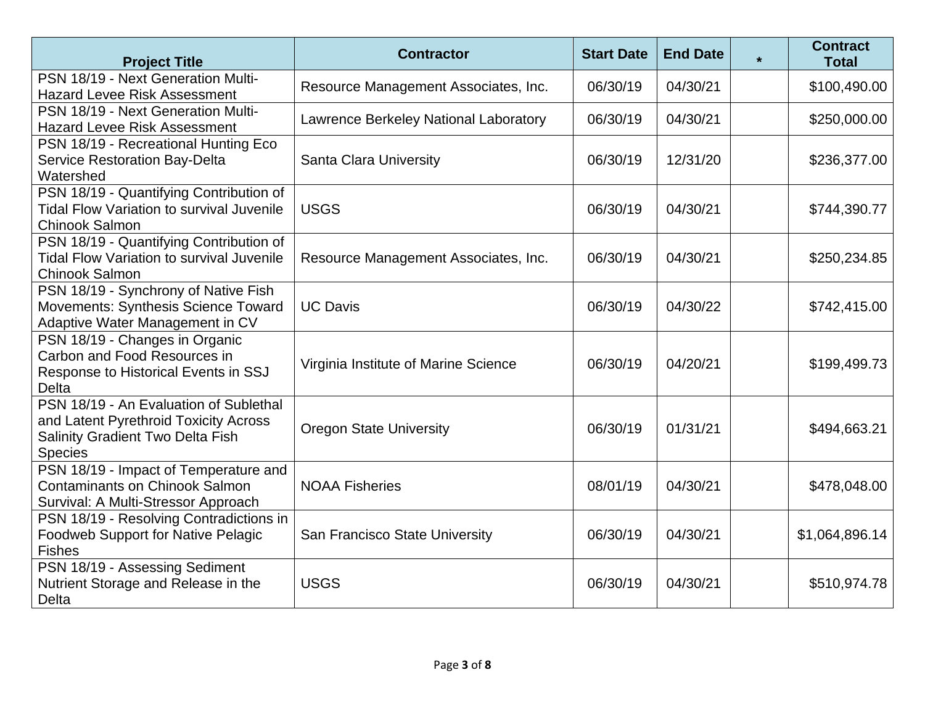| <b>Project Title</b>                                                                                                                         | <b>Contractor</b>                     | <b>Start Date</b> | <b>End Date</b> | $\star$ | <b>Contract</b><br><b>Total</b> |
|----------------------------------------------------------------------------------------------------------------------------------------------|---------------------------------------|-------------------|-----------------|---------|---------------------------------|
| PSN 18/19 - Next Generation Multi-<br><b>Hazard Levee Risk Assessment</b>                                                                    | Resource Management Associates, Inc.  | 06/30/19          | 04/30/21        |         | \$100,490.00                    |
| PSN 18/19 - Next Generation Multi-<br><b>Hazard Levee Risk Assessment</b>                                                                    | Lawrence Berkeley National Laboratory | 06/30/19          | 04/30/21        |         | \$250,000.00                    |
| PSN 18/19 - Recreational Hunting Eco<br><b>Service Restoration Bay-Delta</b><br>Watershed                                                    | Santa Clara University                | 06/30/19          | 12/31/20        |         | \$236,377.00                    |
| PSN 18/19 - Quantifying Contribution of<br><b>Tidal Flow Variation to survival Juvenile</b><br><b>Chinook Salmon</b>                         | <b>USGS</b>                           | 06/30/19          | 04/30/21        |         | \$744,390.77                    |
| PSN 18/19 - Quantifying Contribution of<br><b>Tidal Flow Variation to survival Juvenile</b><br><b>Chinook Salmon</b>                         | Resource Management Associates, Inc.  | 06/30/19          | 04/30/21        |         | \$250,234.85                    |
| PSN 18/19 - Synchrony of Native Fish<br>Movements: Synthesis Science Toward<br>Adaptive Water Management in CV                               | <b>UC Davis</b>                       | 06/30/19          | 04/30/22        |         | \$742,415.00                    |
| PSN 18/19 - Changes in Organic<br>Carbon and Food Resources in<br>Response to Historical Events in SSJ<br><b>Delta</b>                       | Virginia Institute of Marine Science  | 06/30/19          | 04/20/21        |         | \$199,499.73                    |
| PSN 18/19 - An Evaluation of Sublethal<br>and Latent Pyrethroid Toxicity Across<br><b>Salinity Gradient Two Delta Fish</b><br><b>Species</b> | <b>Oregon State University</b>        | 06/30/19          | 01/31/21        |         | \$494,663.21                    |
| PSN 18/19 - Impact of Temperature and<br><b>Contaminants on Chinook Salmon</b><br>Survival: A Multi-Stressor Approach                        | <b>NOAA Fisheries</b>                 | 08/01/19          | 04/30/21        |         | \$478,048.00                    |
| PSN 18/19 - Resolving Contradictions in<br><b>Foodweb Support for Native Pelagic</b><br><b>Fishes</b>                                        | San Francisco State University        | 06/30/19          | 04/30/21        |         | \$1,064,896.14                  |
| PSN 18/19 - Assessing Sediment<br>Nutrient Storage and Release in the<br>Delta                                                               | <b>USGS</b>                           | 06/30/19          | 04/30/21        |         | \$510,974.78                    |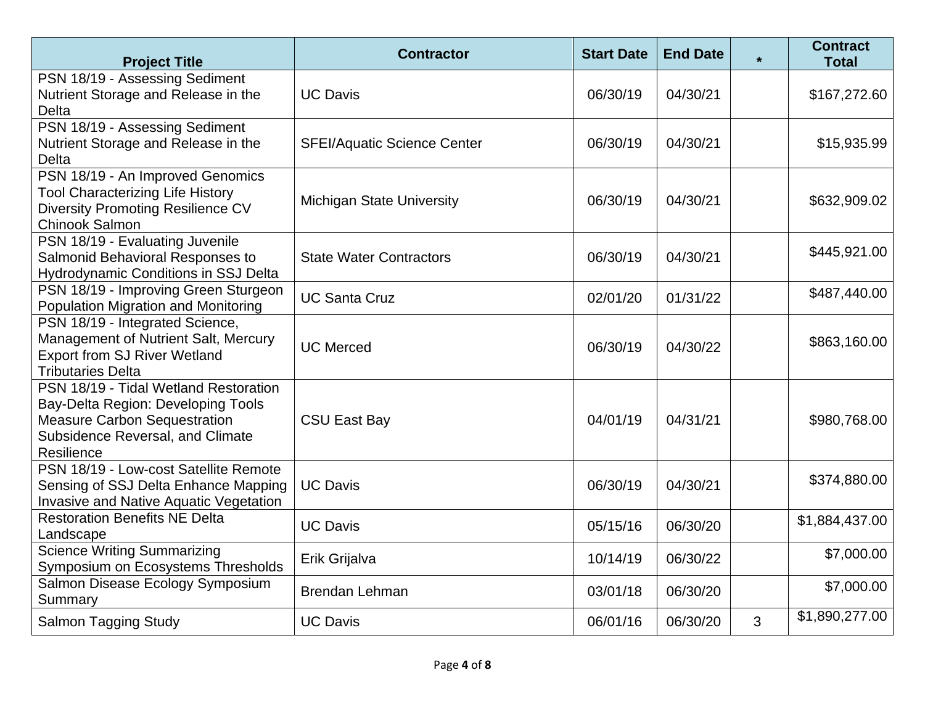| <b>Project Title</b>                                                                                                                                                 | <b>Contractor</b>                  | <b>Start Date</b> | <b>End Date</b> | $\star$ | <b>Contract</b><br><b>Total</b> |
|----------------------------------------------------------------------------------------------------------------------------------------------------------------------|------------------------------------|-------------------|-----------------|---------|---------------------------------|
| PSN 18/19 - Assessing Sediment<br>Nutrient Storage and Release in the<br><b>Delta</b>                                                                                | <b>UC Davis</b>                    | 06/30/19          | 04/30/21        |         | \$167,272.60                    |
| PSN 18/19 - Assessing Sediment<br>Nutrient Storage and Release in the<br><b>Delta</b>                                                                                | <b>SFEI/Aquatic Science Center</b> | 06/30/19          | 04/30/21        |         | \$15,935.99                     |
| PSN 18/19 - An Improved Genomics<br><b>Tool Characterizing Life History</b><br><b>Diversity Promoting Resilience CV</b><br><b>Chinook Salmon</b>                     | <b>Michigan State University</b>   | 06/30/19          | 04/30/21        |         | \$632,909.02                    |
| PSN 18/19 - Evaluating Juvenile<br>Salmonid Behavioral Responses to<br><b>Hydrodynamic Conditions in SSJ Delta</b>                                                   | <b>State Water Contractors</b>     | 06/30/19          | 04/30/21        |         | \$445,921.00                    |
| PSN 18/19 - Improving Green Sturgeon<br><b>Population Migration and Monitoring</b>                                                                                   | <b>UC Santa Cruz</b>               | 02/01/20          | 01/31/22        |         | \$487,440.00                    |
| PSN 18/19 - Integrated Science,<br>Management of Nutrient Salt, Mercury<br><b>Export from SJ River Wetland</b><br><b>Tributaries Delta</b>                           | <b>UC Merced</b>                   | 06/30/19          | 04/30/22        |         | \$863,160.00                    |
| PSN 18/19 - Tidal Wetland Restoration<br>Bay-Delta Region: Developing Tools<br><b>Measure Carbon Sequestration</b><br>Subsidence Reversal, and Climate<br>Resilience | <b>CSU East Bay</b>                | 04/01/19          | 04/31/21        |         | \$980,768.00                    |
| PSN 18/19 - Low-cost Satellite Remote<br>Sensing of SSJ Delta Enhance Mapping<br>Invasive and Native Aquatic Vegetation                                              | <b>UC Davis</b>                    | 06/30/19          | 04/30/21        |         | \$374,880.00                    |
| <b>Restoration Benefits NE Delta</b><br>Landscape                                                                                                                    | <b>UC Davis</b>                    | 05/15/16          | 06/30/20        |         | \$1,884,437.00                  |
| <b>Science Writing Summarizing</b><br>Symposium on Ecosystems Thresholds                                                                                             | Erik Grijalva                      | 10/14/19          | 06/30/22        |         | \$7,000.00                      |
| Salmon Disease Ecology Symposium<br>Summary                                                                                                                          | <b>Brendan Lehman</b>              | 03/01/18          | 06/30/20        |         | \$7,000.00                      |
| <b>Salmon Tagging Study</b>                                                                                                                                          | <b>UC Davis</b>                    | 06/01/16          | 06/30/20        | 3       | \$1,890,277.00                  |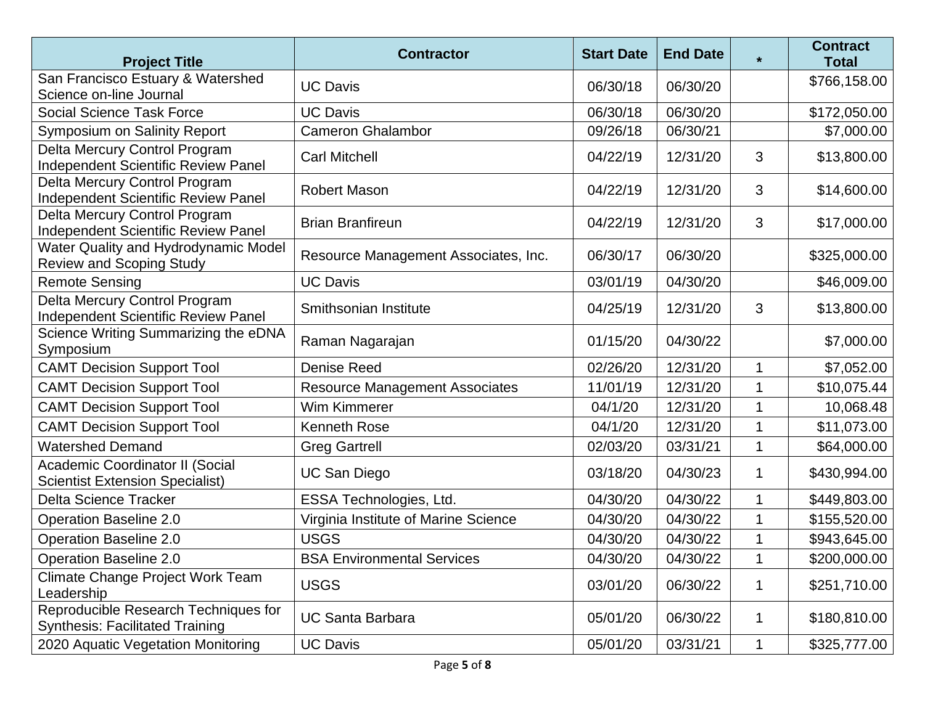| <b>Project Title</b>                                                           | <b>Contractor</b>                     | <b>Start Date</b> | <b>End Date</b> | $\star$     | <b>Contract</b><br><b>Total</b> |
|--------------------------------------------------------------------------------|---------------------------------------|-------------------|-----------------|-------------|---------------------------------|
| San Francisco Estuary & Watershed<br>Science on-line Journal                   | <b>UC Davis</b>                       | 06/30/18          | 06/30/20        |             | \$766,158.00                    |
| Social Science Task Force                                                      | <b>UC Davis</b>                       | 06/30/18          | 06/30/20        |             | \$172,050.00                    |
| Symposium on Salinity Report                                                   | <b>Cameron Ghalambor</b>              | 09/26/18          | 06/30/21        |             | \$7,000.00                      |
| Delta Mercury Control Program<br>Independent Scientific Review Panel           | <b>Carl Mitchell</b>                  | 04/22/19          | 12/31/20        | 3           | \$13,800.00                     |
| Delta Mercury Control Program<br>Independent Scientific Review Panel           | <b>Robert Mason</b>                   | 04/22/19          | 12/31/20        | 3           | \$14,600.00                     |
| Delta Mercury Control Program<br>Independent Scientific Review Panel           | <b>Brian Branfireun</b>               | 04/22/19          | 12/31/20        | 3           | \$17,000.00                     |
| Water Quality and Hydrodynamic Model<br><b>Review and Scoping Study</b>        | Resource Management Associates, Inc.  | 06/30/17          | 06/30/20        |             | \$325,000.00                    |
| <b>Remote Sensing</b>                                                          | <b>UC Davis</b>                       | 03/01/19          | 04/30/20        |             | \$46,009.00                     |
| Delta Mercury Control Program<br><b>Independent Scientific Review Panel</b>    | Smithsonian Institute                 | 04/25/19          | 12/31/20        | 3           | \$13,800.00                     |
| Science Writing Summarizing the eDNA<br>Symposium                              | Raman Nagarajan                       | 01/15/20          | 04/30/22        |             | \$7,000.00                      |
| <b>CAMT Decision Support Tool</b>                                              | <b>Denise Reed</b>                    | 02/26/20          | 12/31/20        | 1           | \$7,052.00                      |
| <b>CAMT Decision Support Tool</b>                                              | <b>Resource Management Associates</b> | 11/01/19          | 12/31/20        |             | \$10,075.44                     |
| <b>CAMT Decision Support Tool</b>                                              | Wim Kimmerer                          | 04/1/20           | 12/31/20        |             | 10,068.48                       |
| <b>CAMT Decision Support Tool</b>                                              | Kenneth Rose                          | 04/1/20           | 12/31/20        |             | \$11,073.00                     |
| <b>Watershed Demand</b>                                                        | <b>Greg Gartrell</b>                  | 02/03/20          | 03/31/21        | 1           | \$64,000.00                     |
| Academic Coordinator II (Social<br><b>Scientist Extension Specialist)</b>      | <b>UC San Diego</b>                   | 03/18/20          | 04/30/23        | 1           | \$430,994.00                    |
| <b>Delta Science Tracker</b>                                                   | ESSA Technologies, Ltd.               | 04/30/20          | 04/30/22        | $\mathbf 1$ | \$449,803.00                    |
| <b>Operation Baseline 2.0</b>                                                  | Virginia Institute of Marine Science  | 04/30/20          | 04/30/22        |             | \$155,520.00                    |
| <b>Operation Baseline 2.0</b>                                                  | <b>USGS</b>                           | 04/30/20          | 04/30/22        |             | \$943,645.00                    |
| <b>Operation Baseline 2.0</b>                                                  | <b>BSA Environmental Services</b>     | 04/30/20          | 04/30/22        | 1           | \$200,000.00                    |
| Climate Change Project Work Team<br>Leadership                                 | <b>USGS</b>                           | 03/01/20          | 06/30/22        | 1           | \$251,710.00                    |
| Reproducible Research Techniques for<br><b>Synthesis: Facilitated Training</b> | <b>UC Santa Barbara</b>               | 05/01/20          | 06/30/22        | 1           | \$180,810.00                    |
| 2020 Aquatic Vegetation Monitoring                                             | <b>UC Davis</b>                       | 05/01/20          | 03/31/21        | 1           | \$325,777.00                    |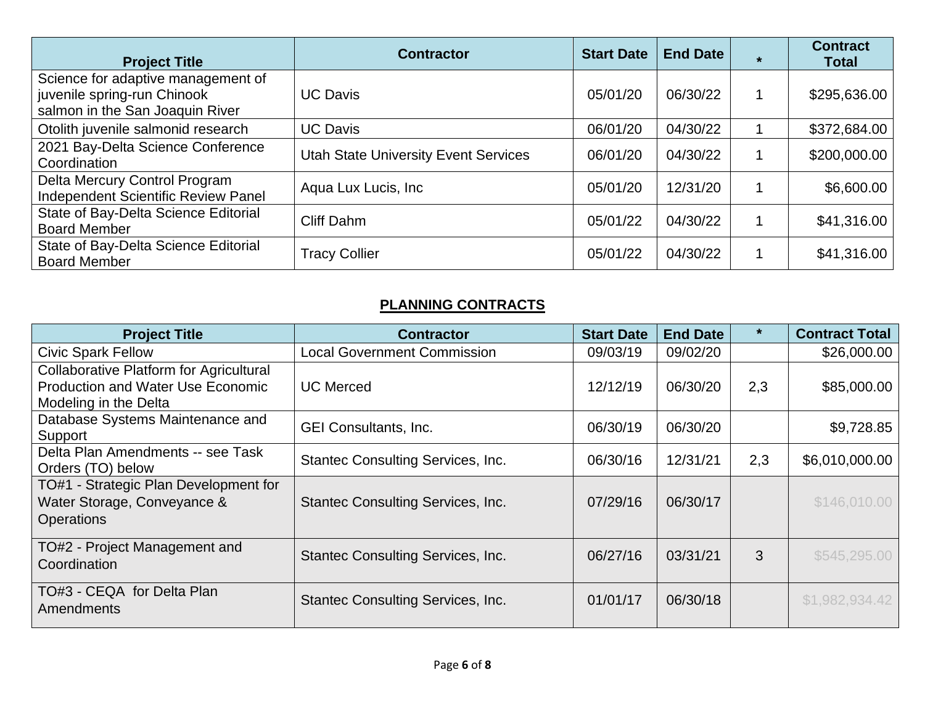| <b>Project Title</b>                                                                                 | <b>Contractor</b>                           | <b>Start Date</b> | <b>End Date</b> | <b>Contract</b><br><b>Total</b> |
|------------------------------------------------------------------------------------------------------|---------------------------------------------|-------------------|-----------------|---------------------------------|
| Science for adaptive management of<br>juvenile spring-run Chinook<br>salmon in the San Joaquin River | <b>UC Davis</b>                             | 05/01/20          | 06/30/22        | \$295,636.00                    |
| Otolith juvenile salmonid research                                                                   | <b>UC Davis</b>                             | 06/01/20          | 04/30/22        | \$372,684.00                    |
| 2021 Bay-Delta Science Conference<br>Coordination                                                    | <b>Utah State University Event Services</b> | 06/01/20          | 04/30/22        | \$200,000.00                    |
| Delta Mercury Control Program<br><b>Independent Scientific Review Panel</b>                          | Aqua Lux Lucis, Inc.                        | 05/01/20          | 12/31/20        | \$6,600.00                      |
| State of Bay-Delta Science Editorial<br><b>Board Member</b>                                          | Cliff Dahm                                  | 05/01/22          | 04/30/22        | \$41,316.00                     |
| State of Bay-Delta Science Editorial<br><b>Board Member</b>                                          | <b>Tracy Collier</b>                        | 05/01/22          | 04/30/22        | \$41,316.00                     |

# **PLANNING CONTRACTS**

| <b>Project Title</b>                                                                                                | <b>Contractor</b>                        | <b>Start Date</b> | <b>End Date</b> |     | <b>Contract Total</b> |
|---------------------------------------------------------------------------------------------------------------------|------------------------------------------|-------------------|-----------------|-----|-----------------------|
| <b>Civic Spark Fellow</b>                                                                                           | <b>Local Government Commission</b>       | 09/03/19          | 09/02/20        |     | \$26,000.00           |
| <b>Collaborative Platform for Agricultural</b><br><b>Production and Water Use Economic</b><br>Modeling in the Delta | <b>UC Merced</b>                         | 12/12/19          | 06/30/20        | 2,3 | \$85,000.00           |
| Database Systems Maintenance and<br>Support                                                                         | GEI Consultants, Inc.                    | 06/30/19          | 06/30/20        |     | \$9,728.85            |
| Delta Plan Amendments -- see Task<br>Orders (TO) below                                                              | <b>Stantec Consulting Services, Inc.</b> | 06/30/16          | 12/31/21        | 2,3 | \$6,010,000.00        |
| TO#1 - Strategic Plan Development for<br>Water Storage, Conveyance &<br><b>Operations</b>                           | <b>Stantec Consulting Services, Inc.</b> | 07/29/16          | 06/30/17        |     | \$146,010.00          |
| TO#2 - Project Management and<br>Coordination                                                                       | <b>Stantec Consulting Services, Inc.</b> | 06/27/16          | 03/31/21        | 3   | \$545,295.00          |
| TO#3 - CEQA for Delta Plan<br>Amendments                                                                            | <b>Stantec Consulting Services, Inc.</b> | 01/01/17          | 06/30/18        |     | \$1,982,934.42        |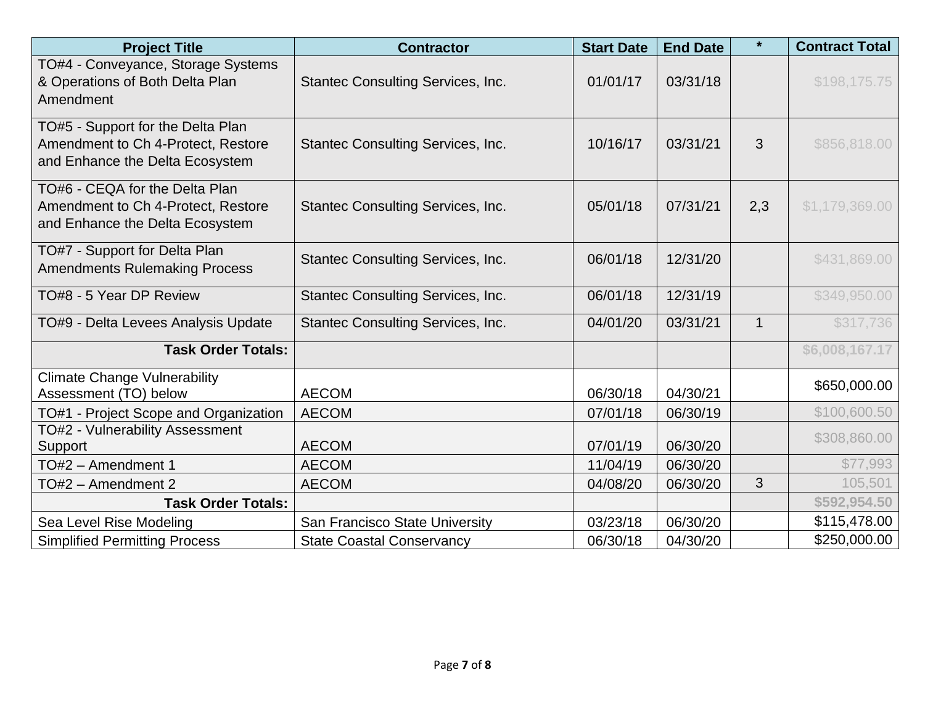| <b>Project Title</b>                                                                                       | <b>Contractor</b>                        | <b>Start Date</b> | <b>End Date</b> | $\star$      | <b>Contract Total</b> |
|------------------------------------------------------------------------------------------------------------|------------------------------------------|-------------------|-----------------|--------------|-----------------------|
| TO#4 - Conveyance, Storage Systems<br>& Operations of Both Delta Plan<br>Amendment                         | Stantec Consulting Services, Inc.        | 01/01/17          | 03/31/18        |              | \$198,175.75          |
| TO#5 - Support for the Delta Plan<br>Amendment to Ch 4-Protect, Restore<br>and Enhance the Delta Ecosystem | <b>Stantec Consulting Services, Inc.</b> | 10/16/17          | 03/31/21        | 3            | \$856,818.00          |
| TO#6 - CEQA for the Delta Plan<br>Amendment to Ch 4-Protect, Restore<br>and Enhance the Delta Ecosystem    | Stantec Consulting Services, Inc.        | 05/01/18          | 07/31/21        | 2,3          | \$1,179,369.00        |
| TO#7 - Support for Delta Plan<br><b>Amendments Rulemaking Process</b>                                      | <b>Stantec Consulting Services, Inc.</b> | 06/01/18          | 12/31/20        |              | \$431,869.00          |
| TO#8 - 5 Year DP Review                                                                                    | Stantec Consulting Services, Inc.        | 06/01/18          | 12/31/19        |              | \$349,950.00          |
| TO#9 - Delta Levees Analysis Update                                                                        | Stantec Consulting Services, Inc.        | 04/01/20          | 03/31/21        | $\mathbf{1}$ | \$317,736             |
| <b>Task Order Totals:</b>                                                                                  |                                          |                   |                 |              | \$6,008,167.17        |
| <b>Climate Change Vulnerability</b><br>Assessment (TO) below                                               | <b>AECOM</b>                             | 06/30/18          | 04/30/21        |              | \$650,000.00          |
| TO#1 - Project Scope and Organization                                                                      | <b>AECOM</b>                             | 07/01/18          | 06/30/19        |              | \$100,600.50          |
| TO#2 - Vulnerability Assessment<br>Support                                                                 | <b>AECOM</b>                             | 07/01/19          | 06/30/20        |              | \$308,860.00          |
| TO#2 - Amendment 1                                                                                         | <b>AECOM</b>                             | 11/04/19          | 06/30/20        |              | \$77,993              |
| TO#2 - Amendment 2                                                                                         | <b>AECOM</b>                             | 04/08/20          | 06/30/20        | 3            | 105,501               |
| <b>Task Order Totals:</b>                                                                                  |                                          |                   |                 |              | \$592,954.50          |
| Sea Level Rise Modeling                                                                                    | San Francisco State University           | 03/23/18          | 06/30/20        |              | \$115,478.00          |
| <b>Simplified Permitting Process</b>                                                                       | <b>State Coastal Conservancy</b>         | 06/30/18          | 04/30/20        |              | \$250,000.00          |